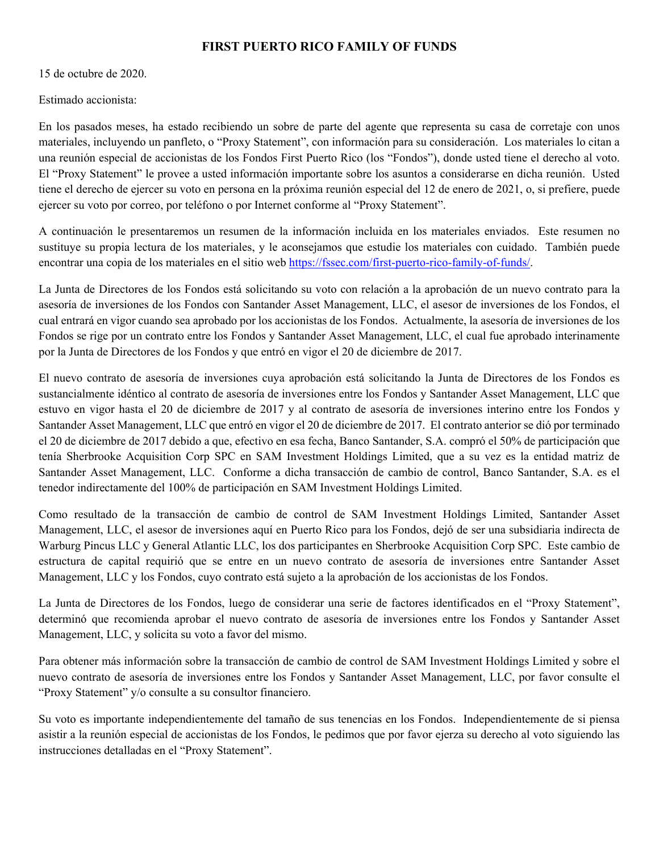## **FIRST PUERTO RICO FAMILY OF FUNDS**

15 de octubre de 2020.

Estimado accionista:

En los pasados meses, ha estado recibiendo un sobre de parte del agente que representa su casa de corretaje con unos materiales, incluyendo un panfleto, o "Proxy Statement", con información para su consideración. Los materiales lo citan a una reunión especial de accionistas de los Fondos First Puerto Rico (los "Fondos"), donde usted tiene el derecho al voto. El "Proxy Statement" le provee a usted información importante sobre los asuntos a considerarse en dicha reunión. Usted tiene el derecho de ejercer su voto en persona en la próxima reunión especial del 12 de enero de 2021, o, si prefiere, puede ejercer su voto por correo, por teléfono o por Internet conforme al "Proxy Statement".

A continuación le presentaremos un resumen de la información incluida en los materiales enviados. Este resumen no sustituye su propia lectura de los materiales, y le aconsejamos que estudie los materiales con cuidado. También puede encontrar una copia de los materiales en el sitio web https://fssec.com/first-puerto-rico-family-of-funds/.

La Junta de Directores de los Fondos está solicitando su voto con relación a la aprobación de un nuevo contrato para la asesoría de inversiones de los Fondos con Santander Asset Management, LLC, el asesor de inversiones de los Fondos, el cual entrará en vigor cuando sea aprobado por los accionistas de los Fondos. Actualmente, la asesoría de inversiones de los Fondos se rige por un contrato entre los Fondos y Santander Asset Management, LLC, el cual fue aprobado interinamente por la Junta de Directores de los Fondos y que entró en vigor el 20 de diciembre de 2017.

El nuevo contrato de asesoría de inversiones cuya aprobación está solicitando la Junta de Directores de los Fondos es sustancialmente idéntico al contrato de asesoría de inversiones entre los Fondos y Santander Asset Management, LLC que estuvo en vigor hasta el 20 de diciembre de 2017 y al contrato de asesoría de inversiones interino entre los Fondos y Santander Asset Management, LLC que entró en vigor el 20 de diciembre de 2017. El contrato anterior se dió por terminado el 20 de diciembre de 2017 debido a que, efectivo en esa fecha, Banco Santander, S.A. compró el 50% de participación que tenía Sherbrooke Acquisition Corp SPC en SAM Investment Holdings Limited, que a su vez es la entidad matriz de Santander Asset Management, LLC. Conforme a dicha transacción de cambio de control, Banco Santander, S.A. es el tenedor indirectamente del 100% de participación en SAM Investment Holdings Limited.

Como resultado de la transacción de cambio de control de SAM Investment Holdings Limited, Santander Asset Management, LLC, el asesor de inversiones aquí en Puerto Rico para los Fondos, dejó de ser una subsidiaria indirecta de Warburg Pincus LLC y General Atlantic LLC, los dos participantes en Sherbrooke Acquisition Corp SPC. Este cambio de estructura de capital requirió que se entre en un nuevo contrato de asesoría de inversiones entre Santander Asset Management, LLC y los Fondos, cuyo contrato está sujeto a la aprobación de los accionistas de los Fondos.

La Junta de Directores de los Fondos, luego de considerar una serie de factores identificados en el "Proxy Statement", determinó que recomienda aprobar el nuevo contrato de asesoría de inversiones entre los Fondos y Santander Asset Management, LLC, y solicita su voto a favor del mismo.

Para obtener más información sobre la transacción de cambio de control de SAM Investment Holdings Limited y sobre el nuevo contrato de asesoría de inversiones entre los Fondos y Santander Asset Management, LLC, por favor consulte el "Proxy Statement" y/o consulte a su consultor financiero.

Su voto es importante independientemente del tamaño de sus tenencias en los Fondos. Independientemente de si piensa asistir a la reunión especial de accionistas de los Fondos, le pedimos que por favor ejerza su derecho al voto siguiendo las instrucciones detalladas en el "Proxy Statement".